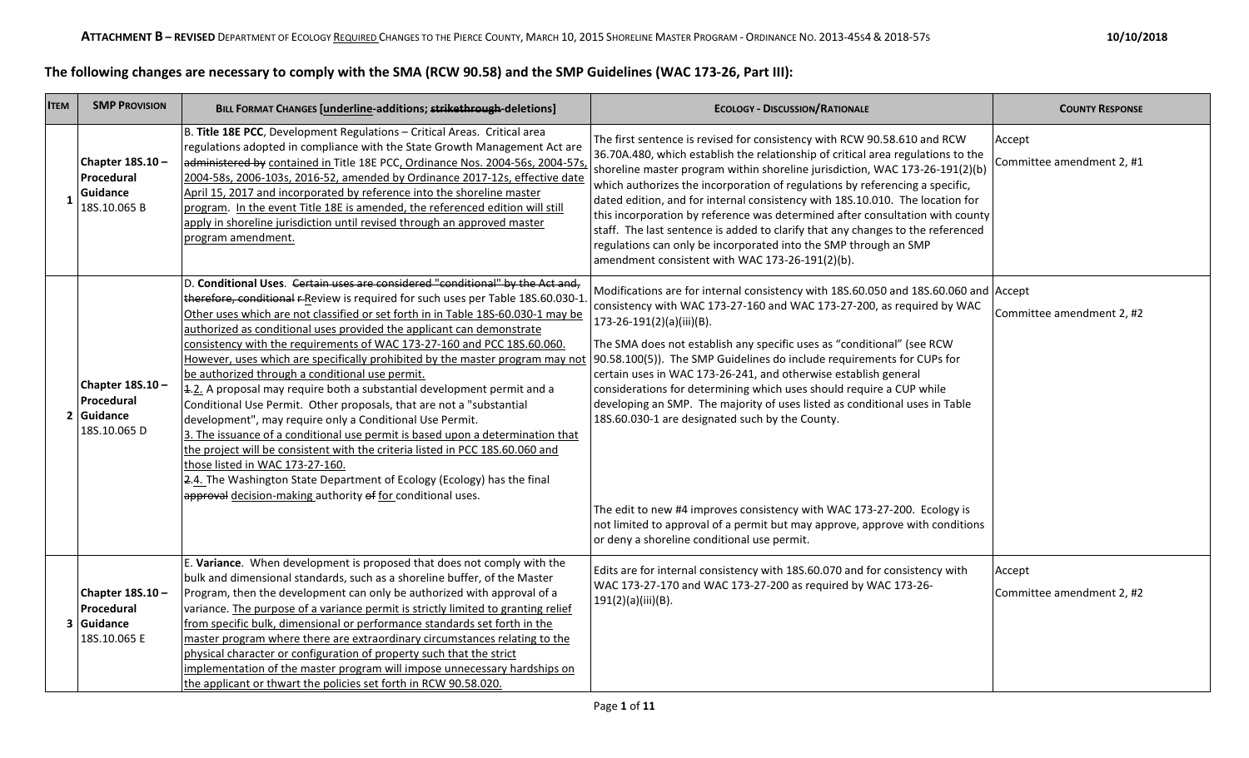## **The following changes are necessary to comply with the SMA (RCW 90.58) and the SMP Guidelines (WAC 173-26, Part III):**

| <b>ITEM</b>    | <b>SMP PROVISION</b>                                        | BILL FORMAT CHANGES [underline-additions; strikethrough-deletions]                                                                                                                                                                                                                                                                                                                                                                                                                                                                                                                                                                                                                                                                                                                                                                                                                                                                                                                                                                                                                                                                                                                                                    | <b>ECOLOGY - DISCUSSION/RATIONALE</b>                                                                                                                                                                                                                                                                                                                                                                                                                                                                                                                                                                                                                                                                                                                        | <b>COUNTY RESPONSE</b>              |
|----------------|-------------------------------------------------------------|-----------------------------------------------------------------------------------------------------------------------------------------------------------------------------------------------------------------------------------------------------------------------------------------------------------------------------------------------------------------------------------------------------------------------------------------------------------------------------------------------------------------------------------------------------------------------------------------------------------------------------------------------------------------------------------------------------------------------------------------------------------------------------------------------------------------------------------------------------------------------------------------------------------------------------------------------------------------------------------------------------------------------------------------------------------------------------------------------------------------------------------------------------------------------------------------------------------------------|--------------------------------------------------------------------------------------------------------------------------------------------------------------------------------------------------------------------------------------------------------------------------------------------------------------------------------------------------------------------------------------------------------------------------------------------------------------------------------------------------------------------------------------------------------------------------------------------------------------------------------------------------------------------------------------------------------------------------------------------------------------|-------------------------------------|
|                | Chapter 18S.10-<br>Procedural<br>Guidance<br>18S.10.065 B   | B. Title 18E PCC, Development Regulations - Critical Areas. Critical area<br>regulations adopted in compliance with the State Growth Management Act are<br>administered by contained in Title 18E PCC, Ordinance Nos. 2004-56s, 2004-57s,<br>2004-58s, 2006-103s, 2016-52, amended by Ordinance 2017-12s, effective date<br>April 15, 2017 and incorporated by reference into the shoreline master<br>program. In the event Title 18E is amended, the referenced edition will still<br>apply in shoreline jurisdiction until revised through an approved master<br>program amendment.                                                                                                                                                                                                                                                                                                                                                                                                                                                                                                                                                                                                                                 | The first sentence is revised for consistency with RCW 90.58.610 and RCW<br>36.70A.480, which establish the relationship of critical area regulations to the<br>shoreline master program within shoreline jurisdiction, WAC 173-26-191(2)(b)<br>which authorizes the incorporation of regulations by referencing a specific,<br>dated edition, and for internal consistency with 18S.10.010. The location for<br>this incorporation by reference was determined after consultation with county<br>staff. The last sentence is added to clarify that any changes to the referenced<br>regulations can only be incorporated into the SMP through an SMP<br>amendment consistent with WAC 173-26-191(2)(b).                                                     | Accept<br>Committee amendment 2, #1 |
| $\overline{2}$ | Chapter 18S.10-<br>Procedural<br>Guidance<br>18S.10.065 D   | D. Conditional Uses. Certain uses are considered "conditional" by the Act and,<br>therefore, conditional r-Review is required for such uses per Table 18S.60.030-1.<br>Other uses which are not classified or set forth in in Table 18S-60.030-1 may be<br>authorized as conditional uses provided the applicant can demonstrate<br>consistency with the requirements of WAC 173-27-160 and PCC 18S.60.060.<br>However, uses which are specifically prohibited by the master program may not $ 90.58.100(5) $ . The SMP Guidelines do include requirements for CUPs for<br>be authorized through a conditional use permit.<br>$\left  \frac{4.2}{1.2} \right $ A proposal may require both a substantial development permit and a<br>Conditional Use Permit. Other proposals, that are not a "substantial<br>development", may require only a Conditional Use Permit.<br>3. The issuance of a conditional use permit is based upon a determination that<br>the project will be consistent with the criteria listed in PCC 18S.60.060 and<br>those listed in WAC 173-27-160.<br>2.4. The Washington State Department of Ecology (Ecology) has the final<br>approval decision-making authority of for conditional uses. | Modifications are for internal consistency with 18S.60.050 and 18S.60.060 and Accept<br>consistency with WAC 173-27-160 and WAC 173-27-200, as required by WAC<br>173-26-191(2)(a)(iii)(B).<br>The SMA does not establish any specific uses as "conditional" (see RCW<br>certain uses in WAC 173-26-241, and otherwise establish general<br>considerations for determining which uses should require a CUP while<br>developing an SMP. The majority of uses listed as conditional uses in Table<br>18S.60.030-1 are designated such by the County.<br>The edit to new #4 improves consistency with WAC 173-27-200. Ecology is<br>not limited to approval of a permit but may approve, approve with conditions<br>or deny a shoreline conditional use permit. | Committee amendment 2, #2           |
|                | Chapter 18S.10-<br>Procedural<br>3 Guidance<br>18S.10.065 E | E. Variance. When development is proposed that does not comply with the<br>bulk and dimensional standards, such as a shoreline buffer, of the Master<br>Program, then the development can only be authorized with approval of a<br>variance. The purpose of a variance permit is strictly limited to granting relief<br>from specific bulk, dimensional or performance standards set forth in the<br>master program where there are extraordinary circumstances relating to the<br>physical character or configuration of property such that the strict<br>implementation of the master program will impose unnecessary hardships on<br>the applicant or thwart the policies set forth in RCW 90.58.020.                                                                                                                                                                                                                                                                                                                                                                                                                                                                                                              | Edits are for internal consistency with 18S.60.070 and for consistency with<br>WAC 173-27-170 and WAC 173-27-200 as required by WAC 173-26-<br>191(2)(a)(iii)(B).                                                                                                                                                                                                                                                                                                                                                                                                                                                                                                                                                                                            | Accept<br>Committee amendment 2, #2 |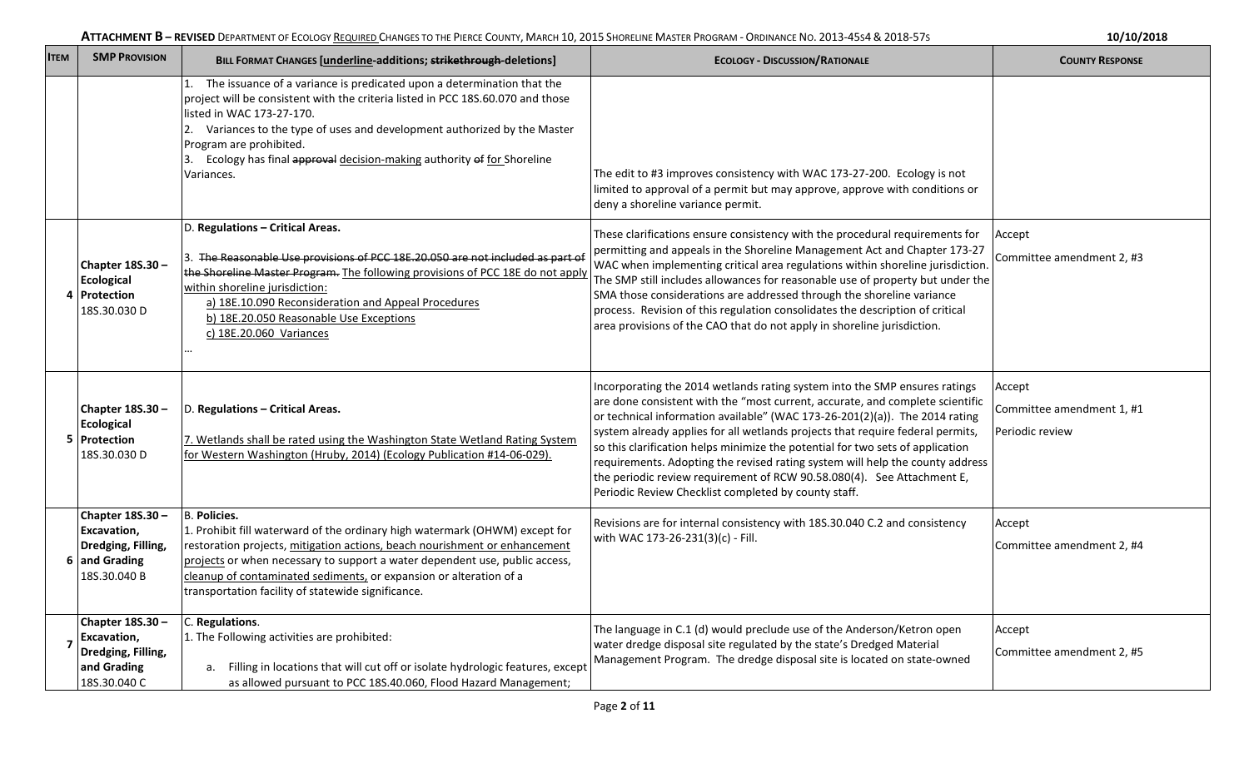| <b>SMP PROVISION</b><br><b>ITEM</b>                                                   | <b>BILL FORMAT CHANGES [underline-additions; strikethrough-deletions]</b>                                                                                                                                                                                                                                                                                                                   | <b>ECOLOGY - DISCUSSION/RATIONALE</b>                                                                                                                                                                                                                                                                                                                                                                                                                                                                                                                                                                                             | <b>COUNTY RESPONSE</b>                                 |
|---------------------------------------------------------------------------------------|---------------------------------------------------------------------------------------------------------------------------------------------------------------------------------------------------------------------------------------------------------------------------------------------------------------------------------------------------------------------------------------------|-----------------------------------------------------------------------------------------------------------------------------------------------------------------------------------------------------------------------------------------------------------------------------------------------------------------------------------------------------------------------------------------------------------------------------------------------------------------------------------------------------------------------------------------------------------------------------------------------------------------------------------|--------------------------------------------------------|
|                                                                                       | The issuance of a variance is predicated upon a determination that the<br>project will be consistent with the criteria listed in PCC 18S.60.070 and those<br>listed in WAC 173-27-170.<br>2. Variances to the type of uses and development authorized by the Master<br>Program are prohibited.<br>3. Ecology has final approval decision-making authority of for Shoreline<br>Variances.    | The edit to #3 improves consistency with WAC 173-27-200. Ecology is not<br>limited to approval of a permit but may approve, approve with conditions or<br>deny a shoreline variance permit.                                                                                                                                                                                                                                                                                                                                                                                                                                       |                                                        |
| Chapter 18S.30-<br><b>Ecological</b><br>Protection<br>18S.30.030 D                    | D. Regulations - Critical Areas.<br>3. The Reasonable Use provisions of PCC 18E.20.050 are not included as part of<br>the Shoreline Master Program. The following provisions of PCC 18E do not apply<br>within shoreline jurisdiction:<br>a) 18E.10.090 Reconsideration and Appeal Procedures<br>b) 18E.20.050 Reasonable Use Exceptions<br>c) 18E.20.060 Variances                         | These clarifications ensure consistency with the procedural requirements for<br>permitting and appeals in the Shoreline Management Act and Chapter 173-27<br>WAC when implementing critical area regulations within shoreline jurisdiction.<br>The SMP still includes allowances for reasonable use of property but under the<br>SMA those considerations are addressed through the shoreline variance<br>process. Revision of this regulation consolidates the description of critical<br>area provisions of the CAO that do not apply in shoreline jurisdiction.                                                                | Accept<br>Committee amendment 2, #3                    |
| <b>Chapter 18S.30 -</b><br><b>Ecological</b><br>Protection<br>5<br>18S.30.030 D       | D. Regulations - Critical Areas.<br>7. Wetlands shall be rated using the Washington State Wetland Rating System<br>for Western Washington (Hruby, 2014) (Ecology Publication #14-06-029).                                                                                                                                                                                                   | Incorporating the 2014 wetlands rating system into the SMP ensures ratings<br>are done consistent with the "most current, accurate, and complete scientific<br>or technical information available" (WAC 173-26-201(2)(a)). The 2014 rating<br>system already applies for all wetlands projects that require federal permits,<br>so this clarification helps minimize the potential for two sets of application<br>requirements. Adopting the revised rating system will help the county address<br>the periodic review requirement of RCW 90.58.080(4). See Attachment E,<br>Periodic Review Checklist completed by county staff. | Accept<br>Committee amendment 1, #1<br>Periodic review |
| Chapter 18S.30-<br>Excavation,<br>Dredging, Filling,<br>6 and Grading<br>18S.30.040 B | <b>B. Policies.</b><br>1. Prohibit fill waterward of the ordinary high watermark (OHWM) except for<br>restoration projects, mitigation actions, beach nourishment or enhancement<br>projects or when necessary to support a water dependent use, public access,<br>cleanup of contaminated sediments, or expansion or alteration of a<br>transportation facility of statewide significance. | Revisions are for internal consistency with 18S.30.040 C.2 and consistency<br>with WAC 173-26-231(3)(c) - Fill.                                                                                                                                                                                                                                                                                                                                                                                                                                                                                                                   | Accept<br>Committee amendment 2, #4                    |
| Chapter 18S.30-<br>Excavation,<br>Dredging, Filling,<br>and Grading<br>18S.30.040 C   | C. Regulations.<br>1. The Following activities are prohibited:<br>a. Filling in locations that will cut off or isolate hydrologic features, except<br>as allowed pursuant to PCC 18S.40.060, Flood Hazard Management;                                                                                                                                                                       | The language in C.1 (d) would preclude use of the Anderson/Ketron open<br>water dredge disposal site regulated by the state's Dredged Material<br>Management Program. The dredge disposal site is located on state-owned                                                                                                                                                                                                                                                                                                                                                                                                          | Accept<br>Committee amendment 2, #5                    |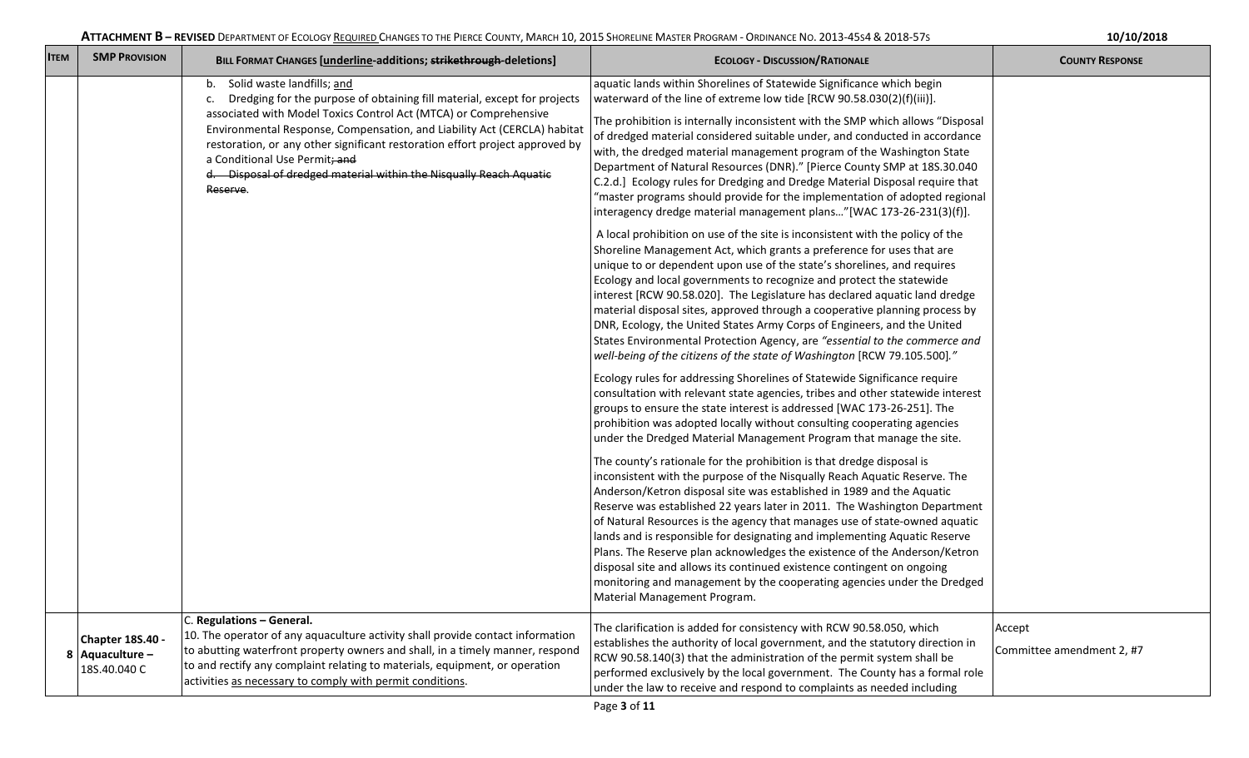| <b>ITEM</b> | <b>SMP PROVISION</b>                                       | <b>BILL FORMAT CHANGES [underline-additions; strikethrough-deletions]</b>                                                                                                                                                                                                                                                                                                                                                                                          | <b>ECOLOGY - DISCUSSION/RATIONALE</b>                                                                                                                                                                                                                                                                                                                                                                                                                                                                                                                                                                                                                                                                                                                                                                                                                                                                                                                                                                                                                                                                                                                                                                                                                                                                                                                                                                                                                                                                                                                                                                                                                                                                                                                                                                                                                                                                                                                                                                                                                                                                                                                                                                                                                                                                                                                                                                                                                                                                                                                        | <b>COUNTY RESPONSE</b>              |
|-------------|------------------------------------------------------------|--------------------------------------------------------------------------------------------------------------------------------------------------------------------------------------------------------------------------------------------------------------------------------------------------------------------------------------------------------------------------------------------------------------------------------------------------------------------|--------------------------------------------------------------------------------------------------------------------------------------------------------------------------------------------------------------------------------------------------------------------------------------------------------------------------------------------------------------------------------------------------------------------------------------------------------------------------------------------------------------------------------------------------------------------------------------------------------------------------------------------------------------------------------------------------------------------------------------------------------------------------------------------------------------------------------------------------------------------------------------------------------------------------------------------------------------------------------------------------------------------------------------------------------------------------------------------------------------------------------------------------------------------------------------------------------------------------------------------------------------------------------------------------------------------------------------------------------------------------------------------------------------------------------------------------------------------------------------------------------------------------------------------------------------------------------------------------------------------------------------------------------------------------------------------------------------------------------------------------------------------------------------------------------------------------------------------------------------------------------------------------------------------------------------------------------------------------------------------------------------------------------------------------------------------------------------------------------------------------------------------------------------------------------------------------------------------------------------------------------------------------------------------------------------------------------------------------------------------------------------------------------------------------------------------------------------------------------------------------------------------------------------------------------------|-------------------------------------|
|             |                                                            | b. Solid waste landfills; and<br>Dredging for the purpose of obtaining fill material, except for projects<br>c.<br>associated with Model Toxics Control Act (MTCA) or Comprehensive<br>Environmental Response, Compensation, and Liability Act (CERCLA) habitat<br>restoration, or any other significant restoration effort project approved by<br>a Conditional Use Permit; and<br>d. Disposal of dredged material within the Nisqually Reach Aquatic<br>Reserve. | aquatic lands within Shorelines of Statewide Significance which begin<br>waterward of the line of extreme low tide [RCW 90.58.030(2)(f)(iii)].<br>The prohibition is internally inconsistent with the SMP which allows "Disposal<br>of dredged material considered suitable under, and conducted in accordance<br>with, the dredged material management program of the Washington State<br>Department of Natural Resources (DNR)." [Pierce County SMP at 18S.30.040<br>C.2.d.] Ecology rules for Dredging and Dredge Material Disposal require that<br>"master programs should provide for the implementation of adopted regional<br>interagency dredge material management plans"[WAC 173-26-231(3)(f)].<br>A local prohibition on use of the site is inconsistent with the policy of the<br>Shoreline Management Act, which grants a preference for uses that are<br>unique to or dependent upon use of the state's shorelines, and requires<br>Ecology and local governments to recognize and protect the statewide<br>interest [RCW 90.58.020]. The Legislature has declared aquatic land dredge<br>material disposal sites, approved through a cooperative planning process by<br>DNR, Ecology, the United States Army Corps of Engineers, and the United<br>States Environmental Protection Agency, are "essential to the commerce and<br>well-being of the citizens of the state of Washington [RCW 79.105.500]."<br>Ecology rules for addressing Shorelines of Statewide Significance require<br>consultation with relevant state agencies, tribes and other statewide interest<br>groups to ensure the state interest is addressed [WAC 173-26-251]. The<br>prohibition was adopted locally without consulting cooperating agencies<br>under the Dredged Material Management Program that manage the site.<br>The county's rationale for the prohibition is that dredge disposal is<br>inconsistent with the purpose of the Nisqually Reach Aquatic Reserve. The<br>Anderson/Ketron disposal site was established in 1989 and the Aquatic<br>Reserve was established 22 years later in 2011. The Washington Department<br>of Natural Resources is the agency that manages use of state-owned aquatic<br>lands and is responsible for designating and implementing Aquatic Reserve<br>Plans. The Reserve plan acknowledges the existence of the Anderson/Ketron<br>disposal site and allows its continued existence contingent on ongoing<br>monitoring and management by the cooperating agencies under the Dredged<br>Material Management Program. |                                     |
|             | <b>Chapter 18S.40 -</b><br>8 Aquaculture -<br>18S.40.040 C | C. Regulations - General.<br>10. The operator of any aquaculture activity shall provide contact information<br>to abutting waterfront property owners and shall, in a timely manner, respond<br>to and rectify any complaint relating to materials, equipment, or operation<br>activities as necessary to comply with permit conditions.                                                                                                                           | The clarification is added for consistency with RCW 90.58.050, which<br>establishes the authority of local government, and the statutory direction in<br>RCW 90.58.140(3) that the administration of the permit system shall be<br>performed exclusively by the local government. The County has a formal role<br>under the law to receive and respond to complaints as needed including                                                                                                                                                                                                                                                                                                                                                                                                                                                                                                                                                                                                                                                                                                                                                                                                                                                                                                                                                                                                                                                                                                                                                                                                                                                                                                                                                                                                                                                                                                                                                                                                                                                                                                                                                                                                                                                                                                                                                                                                                                                                                                                                                                     | Accept<br>Committee amendment 2, #7 |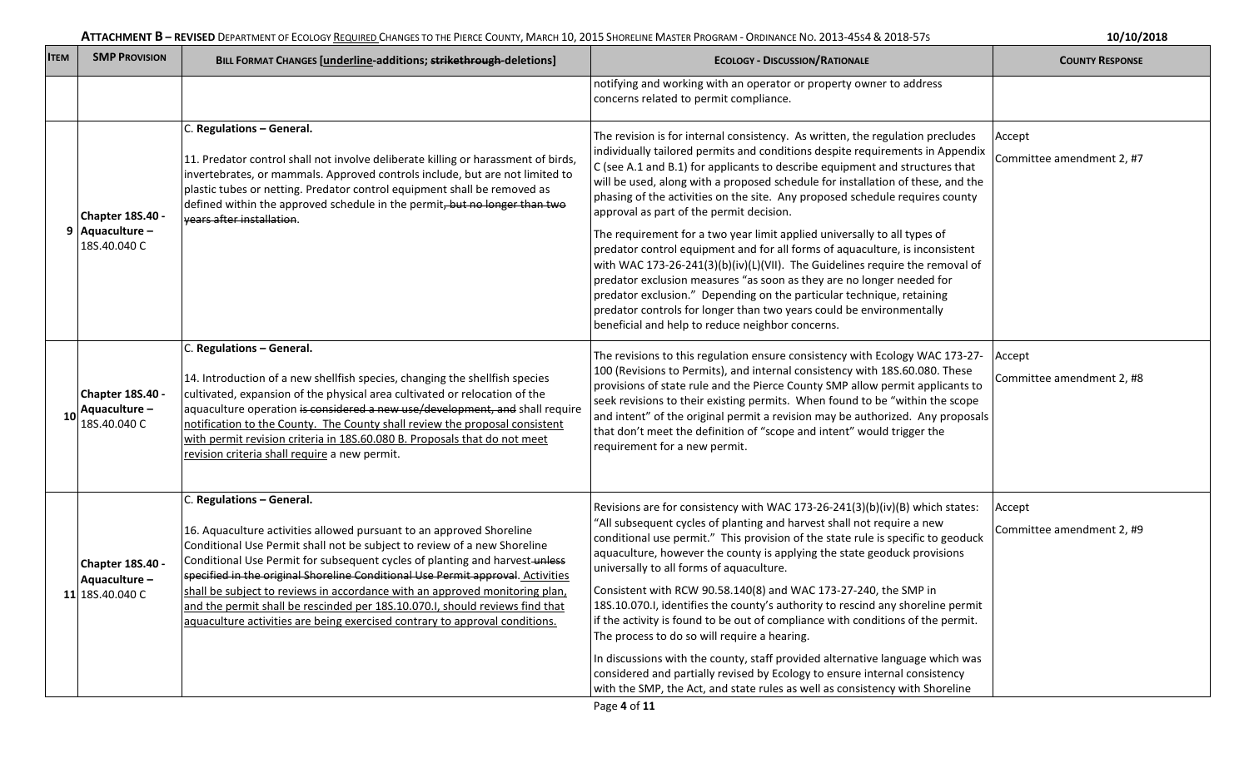| <b>ITEM</b> | <b>SMP PROVISION</b>                                   | BILL FORMAT CHANGES [underline-additions; strikethrough-deletions]                                                                                                                                                                                                                                                                                                                                                                                                                                                                                                                            | <b>ECOLOGY - DISCUSSION/RATIONALE</b>                                                                                                                                                                                                                                                                                                                                                                                                                                                                                                                                                                                                                                                                                                                                                                                                                                                                                                                                                    | <b>COUNTY RESPONSE</b>              |
|-------------|--------------------------------------------------------|-----------------------------------------------------------------------------------------------------------------------------------------------------------------------------------------------------------------------------------------------------------------------------------------------------------------------------------------------------------------------------------------------------------------------------------------------------------------------------------------------------------------------------------------------------------------------------------------------|------------------------------------------------------------------------------------------------------------------------------------------------------------------------------------------------------------------------------------------------------------------------------------------------------------------------------------------------------------------------------------------------------------------------------------------------------------------------------------------------------------------------------------------------------------------------------------------------------------------------------------------------------------------------------------------------------------------------------------------------------------------------------------------------------------------------------------------------------------------------------------------------------------------------------------------------------------------------------------------|-------------------------------------|
|             |                                                        |                                                                                                                                                                                                                                                                                                                                                                                                                                                                                                                                                                                               | notifying and working with an operator or property owner to address<br>concerns related to permit compliance.                                                                                                                                                                                                                                                                                                                                                                                                                                                                                                                                                                                                                                                                                                                                                                                                                                                                            |                                     |
|             | Chapter 18S.40 -<br>9 Aquaculture –<br>18S.40.040 C    | C. Regulations - General.<br>11. Predator control shall not involve deliberate killing or harassment of birds,<br>invertebrates, or mammals. Approved controls include, but are not limited to<br>plastic tubes or netting. Predator control equipment shall be removed as<br>defined within the approved schedule in the permit, but no longer than two<br>vears after installation.                                                                                                                                                                                                         | The revision is for internal consistency. As written, the regulation precludes<br>individually tailored permits and conditions despite requirements in Appendix<br>C (see A.1 and B.1) for applicants to describe equipment and structures that<br>will be used, along with a proposed schedule for installation of these, and the<br>phasing of the activities on the site. Any proposed schedule requires county<br>approval as part of the permit decision.<br>The requirement for a two year limit applied universally to all types of<br>predator control equipment and for all forms of aquaculture, is inconsistent<br>with WAC 173-26-241(3)(b)(iv)(L)(VII). The Guidelines require the removal of<br>predator exclusion measures "as soon as they are no longer needed for<br>predator exclusion." Depending on the particular technique, retaining<br>predator controls for longer than two years could be environmentally<br>beneficial and help to reduce neighbor concerns. | Accept<br>Committee amendment 2, #7 |
| 10          | Chapter 18S.40 -<br>Aquaculture-<br>18S.40.040 C       | C. Regulations - General.<br>14. Introduction of a new shellfish species, changing the shellfish species<br>cultivated, expansion of the physical area cultivated or relocation of the<br>aquaculture operation is considered a new use/development, and shall require<br>notification to the County. The County shall review the proposal consistent<br>with permit revision criteria in 18S.60.080 B. Proposals that do not meet<br>revision criteria shall require a new permit.                                                                                                           | The revisions to this regulation ensure consistency with Ecology WAC 173-27-<br>100 (Revisions to Permits), and internal consistency with 18S.60.080. These<br>provisions of state rule and the Pierce County SMP allow permit applicants to<br>seek revisions to their existing permits. When found to be "within the scope<br>and intent" of the original permit a revision may be authorized. Any proposals<br>that don't meet the definition of "scope and intent" would trigger the<br>requirement for a new permit.                                                                                                                                                                                                                                                                                                                                                                                                                                                                | Accept<br>Committee amendment 2, #8 |
|             | Chapter 18S.40 -<br>Aquaculture-<br>11 18 5.40 0.040 C | C. Regulations - General.<br>16. Aquaculture activities allowed pursuant to an approved Shoreline<br>Conditional Use Permit shall not be subject to review of a new Shoreline<br>Conditional Use Permit for subsequent cycles of planting and harvest-unless<br>specified in the original Shoreline Conditional Use Permit approval. Activities<br>shall be subject to reviews in accordance with an approved monitoring plan,<br>and the permit shall be rescinded per 18S.10.070.I, should reviews find that<br>aquaculture activities are being exercised contrary to approval conditions. | Revisions are for consistency with WAC 173-26-241(3)(b)(iv)(B) which states:<br>"All subsequent cycles of planting and harvest shall not require a new<br>conditional use permit." This provision of the state rule is specific to geoduck<br>aquaculture, however the county is applying the state geoduck provisions<br>universally to all forms of aquaculture.<br>Consistent with RCW 90.58.140(8) and WAC 173-27-240, the SMP in<br>18S.10.070.I, identifies the county's authority to rescind any shoreline permit<br>if the activity is found to be out of compliance with conditions of the permit.<br>The process to do so will require a hearing.<br>In discussions with the county, staff provided alternative language which was<br>considered and partially revised by Ecology to ensure internal consistency<br>with the SMP, the Act, and state rules as well as consistency with Shoreline                                                                               | Accept<br>Committee amendment 2, #9 |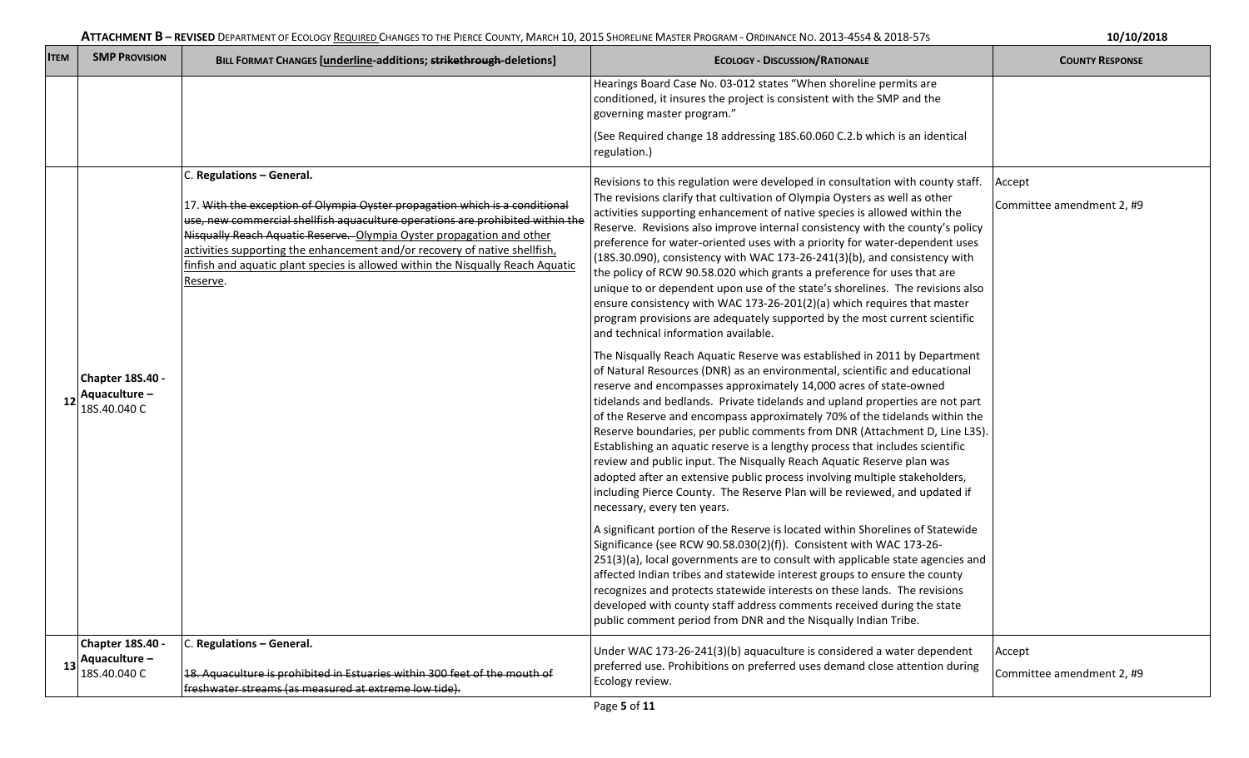| <b>ITEM</b> | <b>SMP PROVISION</b>                             | BILL FORMAT CHANGES [underline-additions; strikethrough-deletions]                                                                                                                                                                                                                                                                                                                                                                               | <b>ECOLOGY - DISCUSSION/RATIONALE</b>                                                                                                                                                                                                                                                                                                                                                                                                                                                                                                                                                                                                                                                                                                                                                                                                               | <b>COUNTY RESPONSE</b>              |
|-------------|--------------------------------------------------|--------------------------------------------------------------------------------------------------------------------------------------------------------------------------------------------------------------------------------------------------------------------------------------------------------------------------------------------------------------------------------------------------------------------------------------------------|-----------------------------------------------------------------------------------------------------------------------------------------------------------------------------------------------------------------------------------------------------------------------------------------------------------------------------------------------------------------------------------------------------------------------------------------------------------------------------------------------------------------------------------------------------------------------------------------------------------------------------------------------------------------------------------------------------------------------------------------------------------------------------------------------------------------------------------------------------|-------------------------------------|
|             |                                                  |                                                                                                                                                                                                                                                                                                                                                                                                                                                  | Hearings Board Case No. 03-012 states "When shoreline permits are<br>conditioned, it insures the project is consistent with the SMP and the<br>governing master program."                                                                                                                                                                                                                                                                                                                                                                                                                                                                                                                                                                                                                                                                           |                                     |
|             |                                                  |                                                                                                                                                                                                                                                                                                                                                                                                                                                  | (See Required change 18 addressing 18S.60.060 C.2.b which is an identical<br>regulation.)                                                                                                                                                                                                                                                                                                                                                                                                                                                                                                                                                                                                                                                                                                                                                           |                                     |
|             |                                                  | C. Regulations - General.<br>17. With the exception of Olympia Oyster propagation which is a conditional<br>use, new commercial shellfish aquaculture operations are prohibited within the<br>Nisqually Reach Aquatic Reserve. Olympia Oyster propagation and other<br>activities supporting the enhancement and/or recovery of native shellfish,<br>finfish and aquatic plant species is allowed within the Nisqually Reach Aquatic<br>Reserve. | Revisions to this regulation were developed in consultation with county staff.<br>The revisions clarify that cultivation of Olympia Oysters as well as other<br>activities supporting enhancement of native species is allowed within the<br>Reserve. Revisions also improve internal consistency with the county's policy<br>preference for water-oriented uses with a priority for water-dependent uses<br>(18S.30.090), consistency with WAC 173-26-241(3)(b), and consistency with<br>the policy of RCW 90.58.020 which grants a preference for uses that are<br>unique to or dependent upon use of the state's shorelines. The revisions also<br>ensure consistency with WAC 173-26-201(2)(a) which requires that master<br>program provisions are adequately supported by the most current scientific<br>and technical information available. | Accept<br>Committee amendment 2, #9 |
| 12          | Chapter 18S.40 -<br>Aquaculture-<br>18S.40.040 C |                                                                                                                                                                                                                                                                                                                                                                                                                                                  | The Nisqually Reach Aquatic Reserve was established in 2011 by Department<br>of Natural Resources (DNR) as an environmental, scientific and educational<br>reserve and encompasses approximately 14,000 acres of state-owned<br>tidelands and bedlands. Private tidelands and upland properties are not part<br>of the Reserve and encompass approximately 70% of the tidelands within the<br>Reserve boundaries, per public comments from DNR (Attachment D, Line L35).<br>Establishing an aquatic reserve is a lengthy process that includes scientific<br>review and public input. The Nisqually Reach Aquatic Reserve plan was<br>adopted after an extensive public process involving multiple stakeholders,<br>including Pierce County. The Reserve Plan will be reviewed, and updated if<br>necessary, every ten years.                       |                                     |
|             |                                                  |                                                                                                                                                                                                                                                                                                                                                                                                                                                  | A significant portion of the Reserve is located within Shorelines of Statewide<br>Significance (see RCW 90.58.030(2)(f)). Consistent with WAC 173-26-<br>251(3)(a), local governments are to consult with applicable state agencies and<br>affected Indian tribes and statewide interest groups to ensure the county<br>recognizes and protects statewide interests on these lands. The revisions<br>developed with county staff address comments received during the state<br>public comment period from DNR and the Nisqually Indian Tribe.                                                                                                                                                                                                                                                                                                       |                                     |
| 13          | Chapter 18S.40 -<br>Aquaculture-<br>18S.40.040 C | C. Regulations - General.<br>18. Aquaculture is prohibited in Estuaries within 300 feet of the mouth of<br>freshwater streams (as measured at extreme low tide).                                                                                                                                                                                                                                                                                 | Under WAC 173-26-241(3)(b) aquaculture is considered a water dependent<br>preferred use. Prohibitions on preferred uses demand close attention during<br>Ecology review.                                                                                                                                                                                                                                                                                                                                                                                                                                                                                                                                                                                                                                                                            | Accept<br>Committee amendment 2, #9 |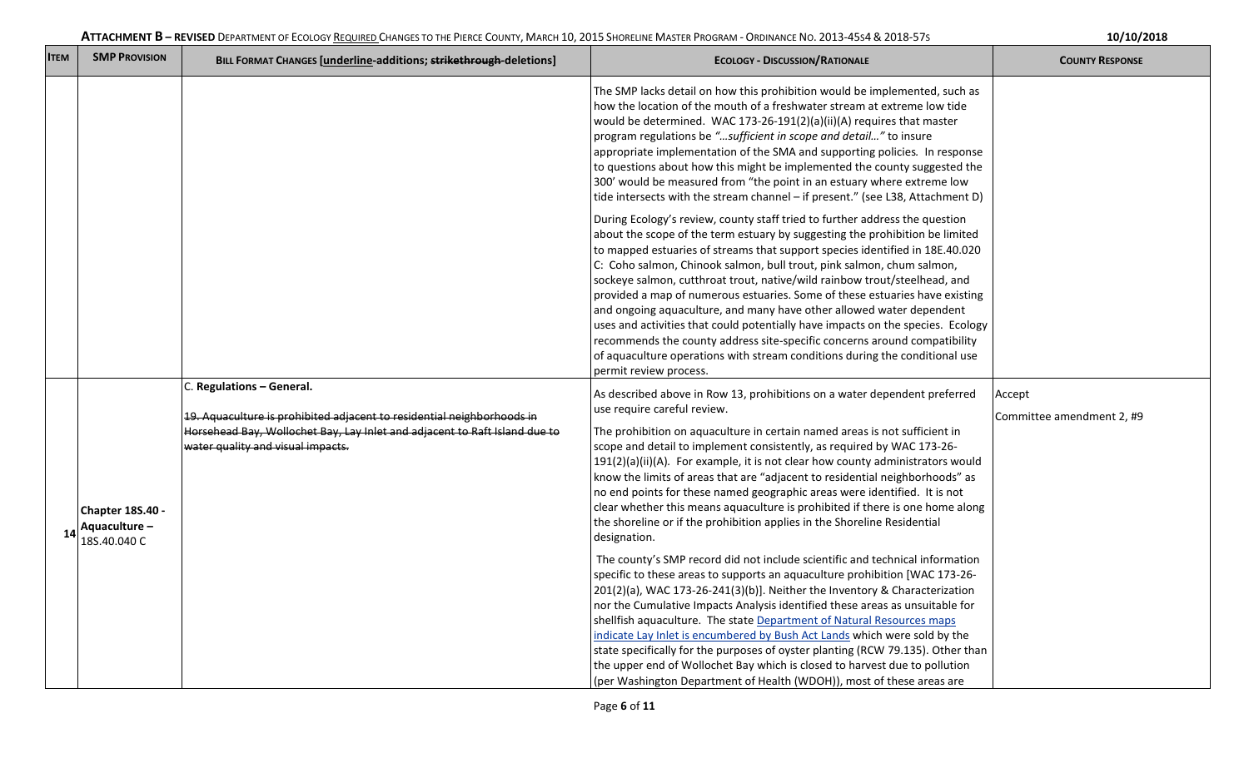| <b>ITEM</b> | <b>SMP PROVISION</b>                                    | BILL FORMAT CHANGES [underline-additions; strikethrough-deletions]                                                                                                                                                     | <b>ECOLOGY - DISCUSSION/RATIONALE</b>                                                                                                                                                                                                                                                                                                                                                                                                                                                                                                                                                                                                                                                                                                                                                                                             | <b>COUNTY RESPONSE</b>              |
|-------------|---------------------------------------------------------|------------------------------------------------------------------------------------------------------------------------------------------------------------------------------------------------------------------------|-----------------------------------------------------------------------------------------------------------------------------------------------------------------------------------------------------------------------------------------------------------------------------------------------------------------------------------------------------------------------------------------------------------------------------------------------------------------------------------------------------------------------------------------------------------------------------------------------------------------------------------------------------------------------------------------------------------------------------------------------------------------------------------------------------------------------------------|-------------------------------------|
|             |                                                         |                                                                                                                                                                                                                        | The SMP lacks detail on how this prohibition would be implemented, such as<br>how the location of the mouth of a freshwater stream at extreme low tide<br>would be determined. WAC 173-26-191(2)(a)(ii)(A) requires that master<br>program regulations be "sufficient in scope and detail" to insure<br>appropriate implementation of the SMA and supporting policies. In response<br>to questions about how this might be implemented the county suggested the<br>300' would be measured from "the point in an estuary where extreme low<br>tide intersects with the stream channel - if present." (see L38, Attachment D)                                                                                                                                                                                                       |                                     |
|             |                                                         |                                                                                                                                                                                                                        | During Ecology's review, county staff tried to further address the question<br>about the scope of the term estuary by suggesting the prohibition be limited<br>to mapped estuaries of streams that support species identified in 18E.40.020<br>C: Coho salmon, Chinook salmon, bull trout, pink salmon, chum salmon,<br>sockeye salmon, cutthroat trout, native/wild rainbow trout/steelhead, and<br>provided a map of numerous estuaries. Some of these estuaries have existing<br>and ongoing aquaculture, and many have other allowed water dependent<br>uses and activities that could potentially have impacts on the species. Ecology<br>recommends the county address site-specific concerns around compatibility<br>of aquaculture operations with stream conditions during the conditional use<br>permit review process. |                                     |
| 14          | <b>Chapter 18S.40 -</b><br>Aquaculture-<br>18S.40.040 C | C. Regulations - General.<br>19. Aquaculture is prohibited adjacent to residential neighborhoods in<br>Horsehead Bay, Wollochet Bay, Lay Inlet and adjacent to Raft Island due to<br>water quality and visual impacts. | As described above in Row 13, prohibitions on a water dependent preferred<br>use require careful review.<br>The prohibition on aquaculture in certain named areas is not sufficient in<br>scope and detail to implement consistently, as required by WAC 173-26-<br>191(2)(a)(ii)(A). For example, it is not clear how county administrators would<br>know the limits of areas that are "adjacent to residential neighborhoods" as<br>no end points for these named geographic areas were identified. It is not<br>clear whether this means aquaculture is prohibited if there is one home along<br>the shoreline or if the prohibition applies in the Shoreline Residential<br>designation.                                                                                                                                      | Accept<br>Committee amendment 2, #9 |
|             |                                                         |                                                                                                                                                                                                                        | The county's SMP record did not include scientific and technical information<br>specific to these areas to supports an aquaculture prohibition [WAC 173-26-<br>201(2)(a), WAC 173-26-241(3)(b)]. Neither the Inventory & Characterization<br>nor the Cumulative Impacts Analysis identified these areas as unsuitable for<br>shellfish aquaculture. The state Department of Natural Resources maps<br>indicate Lay Inlet is encumbered by Bush Act Lands which were sold by the<br>state specifically for the purposes of oyster planting (RCW 79.135). Other than<br>the upper end of Wollochet Bay which is closed to harvest due to pollution<br>(per Washington Department of Health (WDOH)), most of these areas are                                                                                                         |                                     |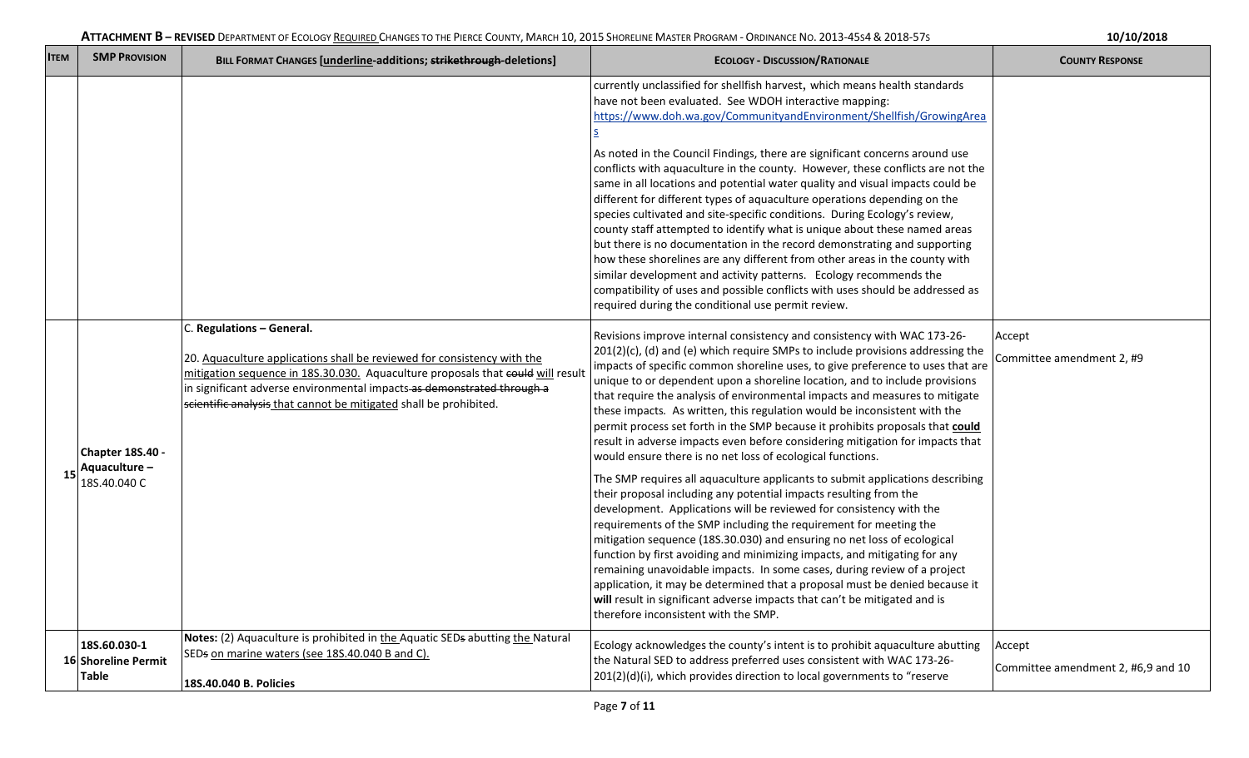| <b>SMP PROVISION</b><br><b>ITEM</b>                 | <b>BILL FORMAT CHANGES [underline-additions; strikethrough-deletions]</b>                                                                                                                                                                                                                                                            | <b>ECOLOGY - DISCUSSION/RATIONALE</b>                                                                                                                                                                                                                                                                                                                                                                                                                                                                                                                                                                                                                                                                                                                                                                                                                      | <b>COUNTY RESPONSE</b>                       |
|-----------------------------------------------------|--------------------------------------------------------------------------------------------------------------------------------------------------------------------------------------------------------------------------------------------------------------------------------------------------------------------------------------|------------------------------------------------------------------------------------------------------------------------------------------------------------------------------------------------------------------------------------------------------------------------------------------------------------------------------------------------------------------------------------------------------------------------------------------------------------------------------------------------------------------------------------------------------------------------------------------------------------------------------------------------------------------------------------------------------------------------------------------------------------------------------------------------------------------------------------------------------------|----------------------------------------------|
|                                                     |                                                                                                                                                                                                                                                                                                                                      | currently unclassified for shellfish harvest, which means health standards<br>have not been evaluated. See WDOH interactive mapping:<br>https://www.doh.wa.gov/CommunityandEnvironment/Shellfish/GrowingArea                                                                                                                                                                                                                                                                                                                                                                                                                                                                                                                                                                                                                                               |                                              |
|                                                     |                                                                                                                                                                                                                                                                                                                                      | As noted in the Council Findings, there are significant concerns around use<br>conflicts with aquaculture in the county. However, these conflicts are not the<br>same in all locations and potential water quality and visual impacts could be<br>different for different types of aquaculture operations depending on the<br>species cultivated and site-specific conditions. During Ecology's review,<br>county staff attempted to identify what is unique about these named areas<br>but there is no documentation in the record demonstrating and supporting<br>how these shorelines are any different from other areas in the county with<br>similar development and activity patterns. Ecology recommends the<br>compatibility of uses and possible conflicts with uses should be addressed as<br>required during the conditional use permit review. |                                              |
| <b>Chapter 18S.40 -</b><br>Aquaculture-             | C. Regulations - General.<br>20. Aquaculture applications shall be reviewed for consistency with the<br>mitigation sequence in 18S.30.030. Aquaculture proposals that could will resu<br>in significant adverse environmental impacts-as demonstrated through a<br>scientific analysis that cannot be mitigated shall be prohibited. | Revisions improve internal consistency and consistency with WAC 173-26-<br>201(2)(c), (d) and (e) which require SMPs to include provisions addressing the<br>impacts of specific common shoreline uses, to give preference to uses that are<br>unique to or dependent upon a shoreline location, and to include provisions<br>that require the analysis of environmental impacts and measures to mitigate<br>these impacts. As written, this regulation would be inconsistent with the<br>permit process set forth in the SMP because it prohibits proposals that could<br>result in adverse impacts even before considering mitigation for impacts that<br>would ensure there is no net loss of ecological functions.                                                                                                                                     | Accept<br>Committee amendment 2, #9          |
| 15<br>18S.40.040 C                                  |                                                                                                                                                                                                                                                                                                                                      | The SMP requires all aquaculture applicants to submit applications describing<br>their proposal including any potential impacts resulting from the<br>development. Applications will be reviewed for consistency with the<br>requirements of the SMP including the requirement for meeting the<br>mitigation sequence (18S.30.030) and ensuring no net loss of ecological<br>function by first avoiding and minimizing impacts, and mitigating for any<br>remaining unavoidable impacts. In some cases, during review of a project<br>application, it may be determined that a proposal must be denied because it<br>will result in significant adverse impacts that can't be mitigated and is<br>therefore inconsistent with the SMP.                                                                                                                     |                                              |
| 18S.60.030-1<br>16 Shoreline Permit<br><b>Table</b> | Notes: (2) Aquaculture is prohibited in the Aquatic SEDs abutting the Natural<br>SEDs on marine waters (see 18S.40.040 B and C).<br>18S.40.040 B. Policies                                                                                                                                                                           | Ecology acknowledges the county's intent is to prohibit aquaculture abutting<br>the Natural SED to address preferred uses consistent with WAC 173-26-<br>201(2)(d)(i), which provides direction to local governments to "reserve                                                                                                                                                                                                                                                                                                                                                                                                                                                                                                                                                                                                                           | Accept<br>Committee amendment 2, #6,9 and 10 |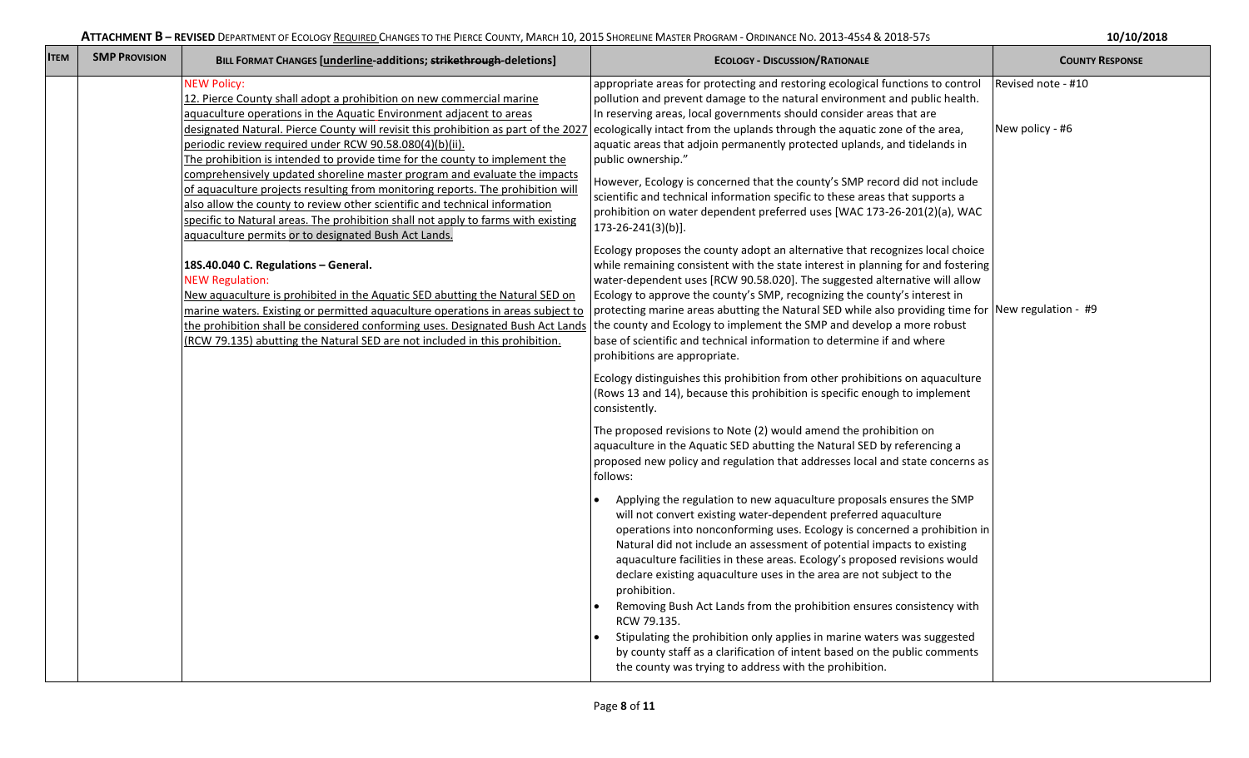| <b>ITEM</b> | <b>SMP PROVISION</b> | BILL FORMAT CHANGES [underline-additions; strikethrough-deletions]                                                                                                                                                                                                                                                                                                                                 | <b>ECOLOGY - DISCUSSION/RATIONALE</b>                                                                                                                                                                                                                                                                                                                                                                                                                                                                                                                                                 | <b>COUNTY RESPONSE</b> |
|-------------|----------------------|----------------------------------------------------------------------------------------------------------------------------------------------------------------------------------------------------------------------------------------------------------------------------------------------------------------------------------------------------------------------------------------------------|---------------------------------------------------------------------------------------------------------------------------------------------------------------------------------------------------------------------------------------------------------------------------------------------------------------------------------------------------------------------------------------------------------------------------------------------------------------------------------------------------------------------------------------------------------------------------------------|------------------------|
|             |                      | <b>NEW Policy:</b><br>12. Pierce County shall adopt a prohibition on new commercial marine<br>aquaculture operations in the Aquatic Environment adjacent to areas                                                                                                                                                                                                                                  | appropriate areas for protecting and restoring ecological functions to control<br>pollution and prevent damage to the natural environment and public health.<br>In reserving areas, local governments should consider areas that are                                                                                                                                                                                                                                                                                                                                                  | Revised note - #10     |
|             |                      | designated Natural. Pierce County will revisit this prohibition as part of the 2027<br>periodic review required under RCW 90.58.080(4)(b)(ii).<br>The prohibition is intended to provide time for the county to implement the                                                                                                                                                                      | ecologically intact from the uplands through the aquatic zone of the area,<br>aquatic areas that adjoin permanently protected uplands, and tidelands in<br>public ownership."                                                                                                                                                                                                                                                                                                                                                                                                         | New policy - #6        |
|             |                      | comprehensively updated shoreline master program and evaluate the impacts<br>of aquaculture projects resulting from monitoring reports. The prohibition will<br>also allow the county to review other scientific and technical information<br>specific to Natural areas. The prohibition shall not apply to farms with existing<br>aquaculture permits or to designated Bush Act Lands.            | However, Ecology is concerned that the county's SMP record did not include<br>scientific and technical information specific to these areas that supports a<br>prohibition on water dependent preferred uses [WAC 173-26-201(2)(a), WAC<br>173-26-241(3)(b)].                                                                                                                                                                                                                                                                                                                          |                        |
|             |                      | 18S.40.040 C. Regulations - General.<br><b>NEW Regulation:</b><br>New aquaculture is prohibited in the Aquatic SED abutting the Natural SED on<br>marine waters. Existing or permitted aquaculture operations in areas subject to<br>the prohibition shall be considered conforming uses. Designated Bush Act Lands<br>(RCW 79.135) abutting the Natural SED are not included in this prohibition. | Ecology proposes the county adopt an alternative that recognizes local choice<br>while remaining consistent with the state interest in planning for and fostering<br>water-dependent uses [RCW 90.58.020]. The suggested alternative will allow<br>Ecology to approve the county's SMP, recognizing the county's interest in<br>protecting marine areas abutting the Natural SED while also providing time for New regulation - #9<br>the county and Ecology to implement the SMP and develop a more robust<br>base of scientific and technical information to determine if and where |                        |
|             |                      |                                                                                                                                                                                                                                                                                                                                                                                                    | prohibitions are appropriate.<br>Ecology distinguishes this prohibition from other prohibitions on aquaculture<br>(Rows 13 and 14), because this prohibition is specific enough to implement<br>consistently.                                                                                                                                                                                                                                                                                                                                                                         |                        |
|             |                      |                                                                                                                                                                                                                                                                                                                                                                                                    | The proposed revisions to Note (2) would amend the prohibition on<br>aquaculture in the Aquatic SED abutting the Natural SED by referencing a<br>proposed new policy and regulation that addresses local and state concerns as<br>follows:                                                                                                                                                                                                                                                                                                                                            |                        |
|             |                      |                                                                                                                                                                                                                                                                                                                                                                                                    | Applying the regulation to new aquaculture proposals ensures the SMP<br>will not convert existing water-dependent preferred aquaculture<br>operations into nonconforming uses. Ecology is concerned a prohibition in<br>Natural did not include an assessment of potential impacts to existing<br>aquaculture facilities in these areas. Ecology's proposed revisions would<br>declare existing aquaculture uses in the area are not subject to the<br>prohibition.                                                                                                                   |                        |
|             |                      |                                                                                                                                                                                                                                                                                                                                                                                                    | Removing Bush Act Lands from the prohibition ensures consistency with<br>RCW 79.135.<br>Stipulating the prohibition only applies in marine waters was suggested<br>by county staff as a clarification of intent based on the public comments<br>the county was trying to address with the prohibition.                                                                                                                                                                                                                                                                                |                        |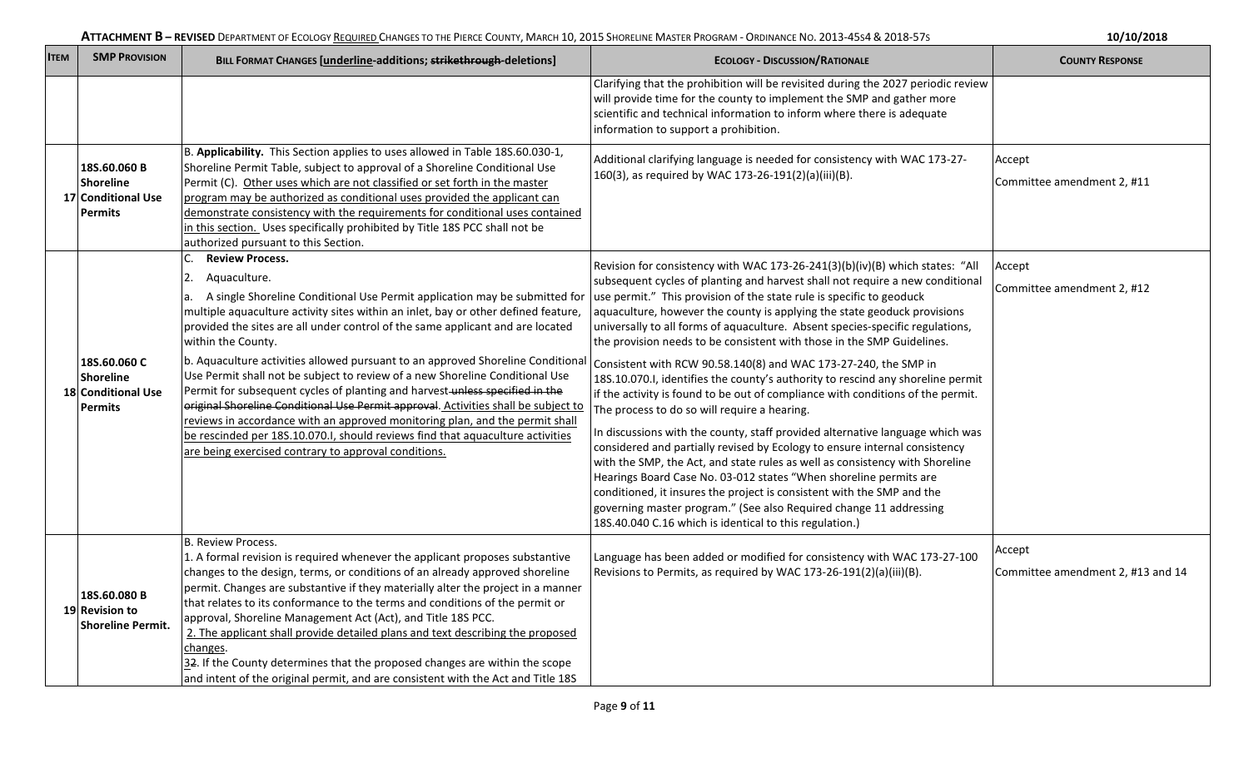| <b>ITEM</b> | <b>SMP PROVISION</b>                                                     | <b>BILL FORMAT CHANGES [underline-additions; strikethrough-deletions]</b>                                                                                                                                                                                                                                                                                                                                                                                                                                                                                                                                                                                                                                                                                                                                                                                                                     | <b>ECOLOGY - DISCUSSION/RATIONALE</b>                                                                                                                                                                                                                                                                                                                                                                                                                                                                                                                                                                                                                                                                                                                                                                                                                                                                                                                                                                                                                                                                                                                                                                                                                                                                | <b>COUNTY RESPONSE</b>                      |
|-------------|--------------------------------------------------------------------------|-----------------------------------------------------------------------------------------------------------------------------------------------------------------------------------------------------------------------------------------------------------------------------------------------------------------------------------------------------------------------------------------------------------------------------------------------------------------------------------------------------------------------------------------------------------------------------------------------------------------------------------------------------------------------------------------------------------------------------------------------------------------------------------------------------------------------------------------------------------------------------------------------|------------------------------------------------------------------------------------------------------------------------------------------------------------------------------------------------------------------------------------------------------------------------------------------------------------------------------------------------------------------------------------------------------------------------------------------------------------------------------------------------------------------------------------------------------------------------------------------------------------------------------------------------------------------------------------------------------------------------------------------------------------------------------------------------------------------------------------------------------------------------------------------------------------------------------------------------------------------------------------------------------------------------------------------------------------------------------------------------------------------------------------------------------------------------------------------------------------------------------------------------------------------------------------------------------|---------------------------------------------|
|             |                                                                          |                                                                                                                                                                                                                                                                                                                                                                                                                                                                                                                                                                                                                                                                                                                                                                                                                                                                                               | Clarifying that the prohibition will be revisited during the 2027 periodic review<br>will provide time for the county to implement the SMP and gather more<br>scientific and technical information to inform where there is adequate<br>information to support a prohibition.                                                                                                                                                                                                                                                                                                                                                                                                                                                                                                                                                                                                                                                                                                                                                                                                                                                                                                                                                                                                                        |                                             |
|             | 18S.60.060 B<br><b>Shoreline</b><br>17 Conditional Use<br><b>Permits</b> | B. Applicability. This Section applies to uses allowed in Table 18S.60.030-1,<br>Shoreline Permit Table, subject to approval of a Shoreline Conditional Use<br>Permit (C). Other uses which are not classified or set forth in the master<br>program may be authorized as conditional uses provided the applicant can<br>demonstrate consistency with the requirements for conditional uses contained<br>in this section. Uses specifically prohibited by Title 18S PCC shall not be<br>authorized pursuant to this Section.                                                                                                                                                                                                                                                                                                                                                                  | Additional clarifying language is needed for consistency with WAC 173-27-<br>160(3), as required by WAC 173-26-191(2)(a)(iii)(B).                                                                                                                                                                                                                                                                                                                                                                                                                                                                                                                                                                                                                                                                                                                                                                                                                                                                                                                                                                                                                                                                                                                                                                    | Accept<br>Committee amendment 2, #11        |
|             | 18S.60.060 C<br><b>Shoreline</b><br>18 Conditional Use<br><b>Permits</b> | <b>Review Process.</b><br>2.<br>Aquaculture.<br>a. A single Shoreline Conditional Use Permit application may be submitted for<br>multiple aquaculture activity sites within an inlet, bay or other defined feature,<br>provided the sites are all under control of the same applicant and are located<br>within the County.<br>b. Aquaculture activities allowed pursuant to an approved Shoreline Conditiona<br>Use Permit shall not be subject to review of a new Shoreline Conditional Use<br>Permit for subsequent cycles of planting and harvest-unless specified in the<br>original Shoreline Conditional Use Permit approval. Activities shall be subject to<br>reviews in accordance with an approved monitoring plan, and the permit shall<br>be rescinded per 18S.10.070.I, should reviews find that aquaculture activities<br>are being exercised contrary to approval conditions. | Revision for consistency with WAC 173-26-241(3)(b)(iv)(B) which states: "All<br>subsequent cycles of planting and harvest shall not require a new conditional<br>use permit." This provision of the state rule is specific to geoduck<br>aquaculture, however the county is applying the state geoduck provisions<br>universally to all forms of aquaculture. Absent species-specific regulations,<br>the provision needs to be consistent with those in the SMP Guidelines.<br>Consistent with RCW 90.58.140(8) and WAC 173-27-240, the SMP in<br>18S.10.070.I, identifies the county's authority to rescind any shoreline permit<br>if the activity is found to be out of compliance with conditions of the permit.<br>The process to do so will require a hearing.<br>In discussions with the county, staff provided alternative language which was<br>considered and partially revised by Ecology to ensure internal consistency<br>with the SMP, the Act, and state rules as well as consistency with Shoreline<br>Hearings Board Case No. 03-012 states "When shoreline permits are<br>conditioned, it insures the project is consistent with the SMP and the<br>governing master program." (See also Required change 11 addressing<br>18S.40.040 C.16 which is identical to this regulation.) | Accept<br>Committee amendment 2, #12        |
|             | 18S.60.080 B<br>19 Revision to<br><b>Shoreline Permit.</b>               | <b>B. Review Process.</b><br>1. A formal revision is required whenever the applicant proposes substantive<br>changes to the design, terms, or conditions of an already approved shoreline<br>permit. Changes are substantive if they materially alter the project in a manner<br>that relates to its conformance to the terms and conditions of the permit or<br>approval, Shoreline Management Act (Act), and Title 18S PCC.<br>2. The applicant shall provide detailed plans and text describing the proposed<br>changes.<br>32. If the County determines that the proposed changes are within the scope<br>and intent of the original permit, and are consistent with the Act and Title 18S                                                                                                                                                                                                | Language has been added or modified for consistency with WAC 173-27-100<br>Revisions to Permits, as required by WAC 173-26-191(2)(a)(iii)(B).                                                                                                                                                                                                                                                                                                                                                                                                                                                                                                                                                                                                                                                                                                                                                                                                                                                                                                                                                                                                                                                                                                                                                        | Accept<br>Committee amendment 2, #13 and 14 |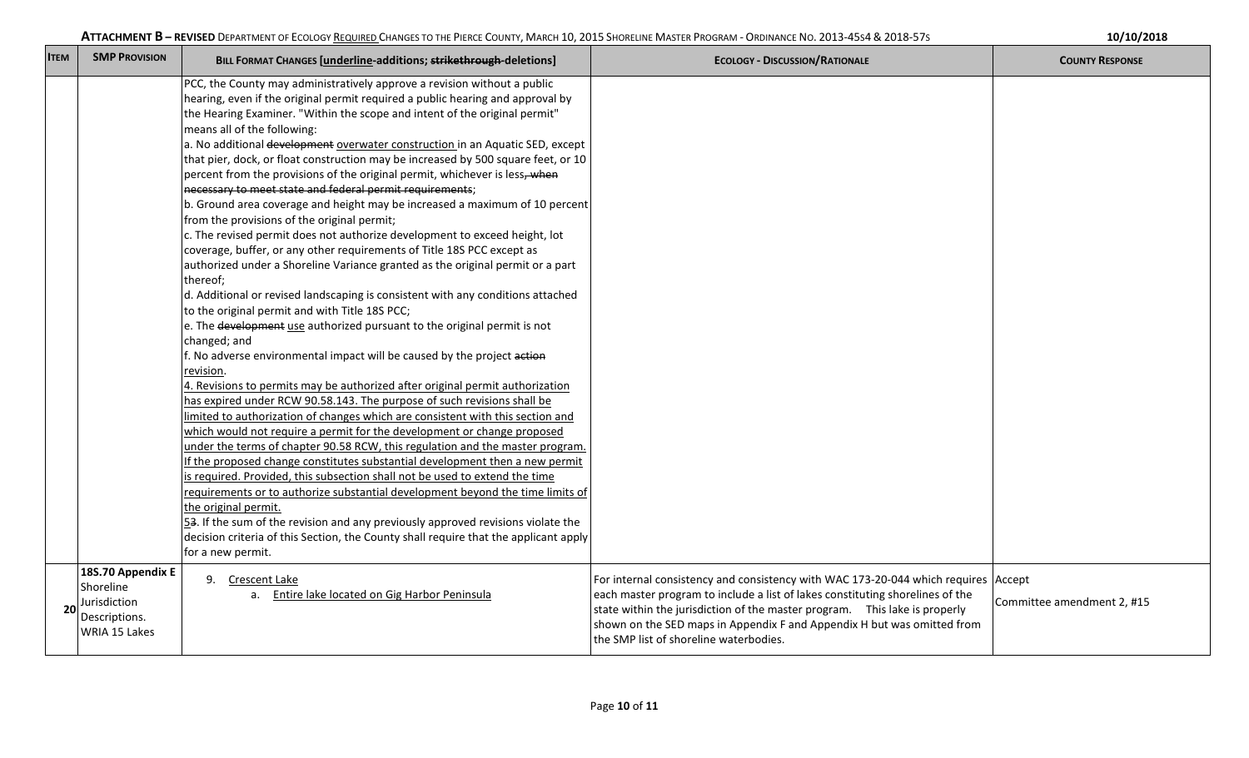| <b>ITEM</b> | <b>SMP PROVISION</b>                                                             | BILL FORMAT CHANGES [underline-additions; strikethrough-deletions]                                                                                                                                                                                                                                                                                                                                                                                                                                                                                                                                                                                                                                                                                                                                                                                                                                                                                                                                                                                                                                                                                                                                                                                                                                                                                                                                                                                                                                                                                                                                                                                                                                                                                                                                                                                                                                                                                                                                                                                                           | <b>ECOLOGY - DISCUSSION/RATIONALE</b>                                                                                                                                                                                                                                                                                                                                   | <b>COUNTY RESPONSE</b>     |
|-------------|----------------------------------------------------------------------------------|------------------------------------------------------------------------------------------------------------------------------------------------------------------------------------------------------------------------------------------------------------------------------------------------------------------------------------------------------------------------------------------------------------------------------------------------------------------------------------------------------------------------------------------------------------------------------------------------------------------------------------------------------------------------------------------------------------------------------------------------------------------------------------------------------------------------------------------------------------------------------------------------------------------------------------------------------------------------------------------------------------------------------------------------------------------------------------------------------------------------------------------------------------------------------------------------------------------------------------------------------------------------------------------------------------------------------------------------------------------------------------------------------------------------------------------------------------------------------------------------------------------------------------------------------------------------------------------------------------------------------------------------------------------------------------------------------------------------------------------------------------------------------------------------------------------------------------------------------------------------------------------------------------------------------------------------------------------------------------------------------------------------------------------------------------------------------|-------------------------------------------------------------------------------------------------------------------------------------------------------------------------------------------------------------------------------------------------------------------------------------------------------------------------------------------------------------------------|----------------------------|
|             |                                                                                  | PCC, the County may administratively approve a revision without a public<br>hearing, even if the original permit required a public hearing and approval by<br>the Hearing Examiner. "Within the scope and intent of the original permit"<br>means all of the following:<br>a. No additional development overwater construction in an Aquatic SED, except<br>that pier, dock, or float construction may be increased by 500 square feet, or 10<br>percent from the provisions of the original permit, whichever is less, when<br>necessary to meet state and federal permit requirements;<br>b. Ground area coverage and height may be increased a maximum of 10 percent<br>from the provisions of the original permit;<br>c. The revised permit does not authorize development to exceed height, lot<br>coverage, buffer, or any other requirements of Title 18S PCC except as<br>authorized under a Shoreline Variance granted as the original permit or a part<br>thereof;<br>d. Additional or revised landscaping is consistent with any conditions attached<br>to the original permit and with Title 18S PCC;<br>e. The development use authorized pursuant to the original permit is not<br>changed; and<br>f. No adverse environmental impact will be caused by the project action<br>revision.<br>4. Revisions to permits may be authorized after original permit authorization<br>has expired under RCW 90.58.143. The purpose of such revisions shall be<br>limited to authorization of changes which are consistent with this section and<br>which would not require a permit for the development or change proposed<br>under the terms of chapter 90.58 RCW, this regulation and the master program.<br>If the proposed change constitutes substantial development then a new permit<br>is required. Provided, this subsection shall not be used to extend the time<br>requirements or to authorize substantial development beyond the time limits of<br>the original permit.<br>53. If the sum of the revision and any previously approved revisions violate the |                                                                                                                                                                                                                                                                                                                                                                         |                            |
|             |                                                                                  | decision criteria of this Section, the County shall require that the applicant apply<br>for a new permit.                                                                                                                                                                                                                                                                                                                                                                                                                                                                                                                                                                                                                                                                                                                                                                                                                                                                                                                                                                                                                                                                                                                                                                                                                                                                                                                                                                                                                                                                                                                                                                                                                                                                                                                                                                                                                                                                                                                                                                    |                                                                                                                                                                                                                                                                                                                                                                         |                            |
| 20          | 18S.70 Appendix E<br>Shoreline<br>Jurisdiction<br>Descriptions.<br>WRIA 15 Lakes | 9. Crescent Lake<br>a. Entire lake located on Gig Harbor Peninsula                                                                                                                                                                                                                                                                                                                                                                                                                                                                                                                                                                                                                                                                                                                                                                                                                                                                                                                                                                                                                                                                                                                                                                                                                                                                                                                                                                                                                                                                                                                                                                                                                                                                                                                                                                                                                                                                                                                                                                                                           | For internal consistency and consistency with WAC 173-20-044 which requires Accept<br>each master program to include a list of lakes constituting shorelines of the<br>state within the jurisdiction of the master program.  This lake is properly<br>shown on the SED maps in Appendix F and Appendix H but was omitted from<br>the SMP list of shoreline waterbodies. | Committee amendment 2, #15 |